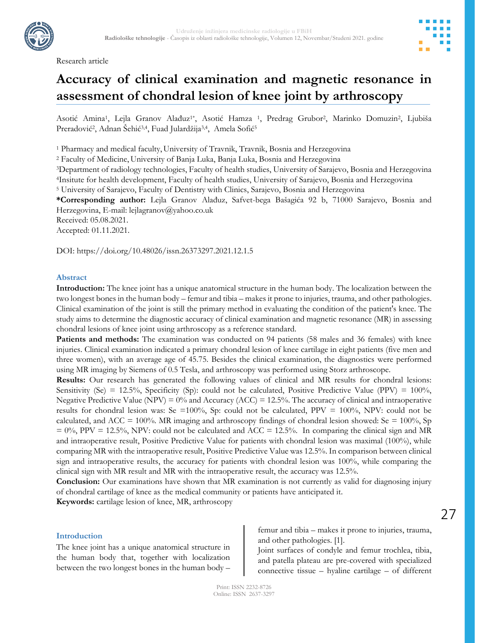Research article



# **Accuracy of clinical examination and magnetic resonance in assessment of chondral lesion of knee joint by arthroscopy**

Asotić Amina<sup>1</sup>, Lejla Granov Alađuz<sup>1\*</sup>, Asotić Hamza <sup>1</sup>, Predrag Grubor<sup>2</sup>, Marinko Domuzin<sup>2</sup>, Ljubiša Preradović<sup>2</sup>, Adnan Šehić<sup>3,4</sup>, Fuad Julardžija<sup>3,4</sup>, Amela Sofić<sup>5</sup>

<sup>1</sup> Pharmacy and medical faculty, University of Travnik, Travnik, Bosnia and Herzegovina

<sup>2</sup> Faculty of Medicine, University of Banja Luka, Banja Luka, Bosnia and Herzegovina

<sup>3</sup>Department of radiology technologies, Faculty of health studies, University of Sarajevo, Bosnia and Herzegovina <sup>4</sup>Insitute for health development, Faculty of health studies, University of Sarajevo, Bosnia and Herzegovina

<sup>5</sup> University of Sarajevo, Faculty of Dentistry with Clinics, Sarajevo, Bosnia and Herzegovina

**\*Corresponding author:** Lejla Granov Alađuz, Safvet-bega Bašagića 92 b, 71000 Sarajevo, Bosnia and Herzegovina, E-mail: lejlagranov@yahoo.co.uk

Received: 05.08.2021.

Accepted: 01.11.2021.

DOI: https://doi.org/10.48026/issn.26373297.2021.12.1.5

#### **Abstract**

**Introduction:** The knee joint has a unique anatomical structure in the human body. The localization between the two longest bones in the human body – femur and tibia – makes it prone to injuries, trauma, and other pathologies. Clinical examination of the joint is still the primary method in evaluating the condition of the patient's knee. The study aims to determine the diagnostic accuracy of clinical examination and magnetic resonance (MR) in assessing chondral lesions of knee joint using arthroscopy as a reference standard.

**Patients and methods:** The examination was conducted on 94 patients (58 males and 36 females) with knee injuries. Clinical examination indicated a primary chondral lesion of knee cartilage in eight patients (five men and three women), with an average age of 45.75. Besides the clinical examination, the diagnostics were performed using MR imaging by Siemens of 0.5 Tesla, and arthroscopy was performed using Storz arthroscope.

**Results:** Our research has generated the following values of clinical and MR results for chondral lesions: Sensitivity (Se) = 12.5%, Specificity (Sp): could not be calculated, Positive Predictive Value (PPV) =  $100\%$ , Negative Predictive Value (NPV) =  $0\%$  and Accuracy (ACC) = 12.5%. The accuracy of clinical and intraoperative results for chondral lesion was: Se =100%, Sp: could not be calculated, PPV = 100%, NPV: could not be calculated, and ACC = 100%. MR imaging and arthroscopy findings of chondral lesion showed: Se = 100%, Sp  $= 0\%$ , PPV = 12.5%, NPV: could not be calculated and ACC = 12.5%. In comparing the clinical sign and MR and intraoperative result, Positive Predictive Value for patients with chondral lesion was maximal (100%), while comparing MR with the intraoperative result, Positive Predictive Value was 12.5%. In comparison between clinical sign and intraoperative results, the accuracy for patients with chondral lesion was 100%, while comparing the clinical sign with MR result and MR with the intraoperative result, the accuracy was 12.5%.

**Conclusion:** Our examinations have shown that MR examination is not currently as valid for diagnosing injury of chondral cartilage of knee as the medical community or patients have anticipated it.

**Keywords:** cartilage lesion of knee, MR, arthroscopy

#### **Introduction**

The knee joint has a unique anatomical structure in the human body that, together with localization between the two longest bones in the human body –

femur and tibia – makes it prone to injuries, trauma, and other pathologies. [1].

Joint surfaces of condyle and femur trochlea, tibia, and patella plateau are pre-covered with specialized connective tissue – hyaline cartilage – of different

Print: ISSN 2232-8726 Online: ISSN 2637-3297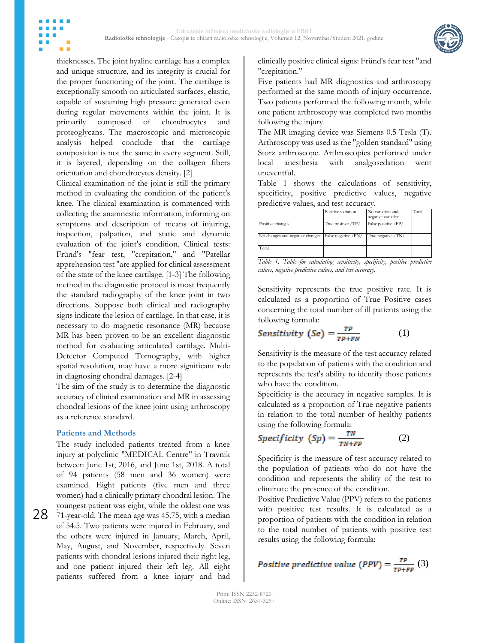

thicknesses. The joint hyaline cartilage has a complex and unique structure, and its integrity is crucial for the proper functioning of the joint. The cartilage is exceptionally smooth on articulated surfaces, elastic, capable of sustaining high pressure generated even during regular movements within the joint. It is primarily composed of chondrocytes and proteoglycans. The macroscopic and microscopic analysis helped conclude that the cartilage composition is not the same in every segment. Still, it is layered, depending on the collagen fibers orientation and chondrocytes density. [2]

Clinical examination of the joint is still the primary method in evaluating the condition of the patient's knee. The clinical examination is commenced with collecting the anamnestic information, informing on symptoms and description of means of injuring, inspection, palpation, and static and dynamic evaluation of the joint's condition. Clinical tests: Fründ's "fear test, "crepitation," and "Patellar apprehension test "are applied for clinical assessment of the state of the knee cartilage. [1-3] The following method in the diagnostic protocol is most frequently the standard radiography of the knee joint in two directions. Suppose both clinical and radiography signs indicate the lesion of cartilage. In that case, it is necessary to do magnetic resonance (MR) because MR has been proven to be an excellent diagnostic method for evaluating articulated cartilage. Multi-Detector Computed Tomography, with higher spatial resolution, may have a more significant role in diagnosing chondral damages. [2-4]

The aim of the study is to determine the diagnostic accuracy of clinical examination and MR in assessing chondral lesions of the knee joint using arthroscopy as a reference standard.

## **Patients and Methods**

The study included patients treated from a knee injury at polyclinic "MEDICAL Centre" in Travnik between June 1st, 2016, and June 1st, 2018. A total of 94 patients (58 men and 36 women) were examined. Eight patients (five men and three women) had a clinically primary chondral lesion. The youngest patient was eight, while the oldest one was 71-year-old. The mean age was 45.75, with a median of 54.5. Two patients were injured in February, and the others were injured in January, March, April, May, August, and November, respectively. Seven patients with chondral lesions injured their right leg, and one patient injured their left leg. All eight patients suffered from a knee injury and had

clinically positive clinical signs: Fründ's fear test "and "crepitation."

Five patients had MR diagnostics and arthroscopy performed at the same month of injury occurrence. Two patients performed the following month, while one patient arthroscopy was completed two months following the injury.

The MR imaging device was Siemens 0.5 Tesla (T). Arthroscopy was used as the "golden standard" using Storz arthroscope. Arthroscopies performed under local anesthesia with analgosedation went uneventful.

Table 1 shows the calculations of sensitivity, specificity, positive predictive values, negative predictive values, and test accuracy.

|                                 | Positive variation   | No variation and<br>negative variation | Total |
|---------------------------------|----------------------|----------------------------------------|-------|
| Positive changes                | True positive /TP/   | False positive /FP/                    |       |
| No changes and negative changes | False negative / FN/ | True negative /TN/                     |       |
| Total                           |                      |                                        |       |

*Table 1. Table for calculating sensitivity, specificity, positive predictive values, negative predictive values, and test accuracy.*

Sensitivity represents the true positive rate. It is calculated as a proportion of True Positive cases concerning the total number of ill patients using the following formula:

$$
Sensitivity (Se) = \frac{TP}{TP+FN}
$$
 (1)

Sensitivity is the measure of the test accuracy related to the population of patients with the condition and represents the test's ability to identify those patients who have the condition.

Specificity is the accuracy in negative samples. It is calculated as a proportion of True negative patients in relation to the total number of healthy patients using the following formula:

$$
Specificity (Sp) = \frac{TN}{TN + FP}
$$
 (2)

Specificity is the measure of test accuracy related to the population of patients who do not have the condition and represents the ability of the test to eliminate the presence of the condition.

Positive Predictive Value (PPV) refers to the patients with positive test results. It is calculated as a proportion of patients with the condition in relation to the total number of patients with positive test results using the following formula:

Positive predictive value (PPV) = 
$$
\frac{TP}{TP+FP}
$$
 (3)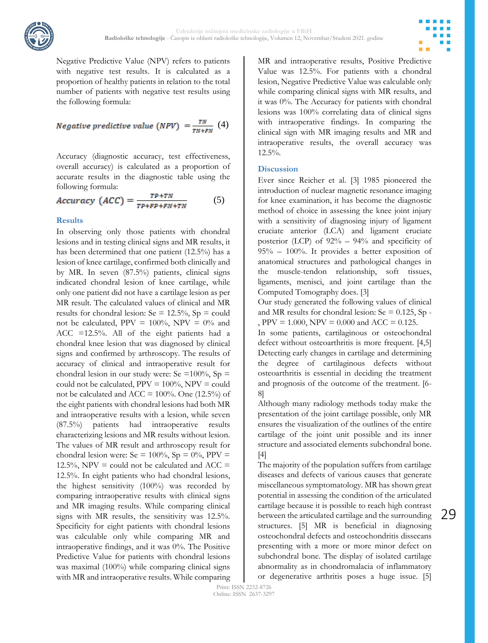



Negative Predictive Value (NPV) refers to patients with negative test results. It is calculated as a proportion of healthy patients in relation to the total number of patients with negative test results using the following formula:

Negative predictive value (NPV) = 
$$
\frac{TN}{TN+FN}
$$
 (4)

Accuracy (diagnostic accuracy, test effectiveness, overall accuracy) is calculated as a proportion of accurate results in the diagnostic table using the following formula:

$$
Accuracy (ACC) = \frac{TP + TN}{TP + FP + FN + TN} \tag{5}
$$

## **Results**

In observing only those patients with chondral lesions and in testing clinical signs and MR results, it has been determined that one patient (12.5%) has a lesion of knee cartilage, confirmed both clinically and by MR. In seven (87.5%) patients, clinical signs indicated chondral lesion of knee cartilage, while only one patient did not have a cartilage lesion as per MR result. The calculated values of clinical and MR results for chondral lesion: Se =  $12.5\%$ , Sp = could not be calculated, PPV =  $100\%$ , NPV =  $0\%$  and ACC =12.5%. All of the eight patients had a chondral knee lesion that was diagnosed by clinical signs and confirmed by arthroscopy. The results of accuracy of clinical and intraoperative result for chondral lesion in our study were: Se =100%, Sp = could not be calculated,  $PPV = 100\%$ ,  $NPV = \text{could}$ not be calculated and ACC =  $100\%$ . One (12.5%) of the eight patients with chondral lesions had both MR and intraoperative results with a lesion, while seven (87.5%) patients had intraoperative results characterizing lesions and MR results without lesion. The values of MR result and arthroscopy result for chondral lesion were: Se =  $100\%$ , Sp =  $0\%$ , PPV =  $12.5\%$ , NPV = could not be calculated and ACC = 12.5%. In eight patients who had chondral lesions, the highest sensitivity (100%) was recorded by comparing intraoperative results with clinical signs and MR imaging results. While comparing clinical signs with MR results, the sensitivity was 12.5%. Specificity for eight patients with chondral lesions was calculable only while comparing MR and intraoperative findings, and it was 0%. The Positive Predictive Value for patients with chondral lesions was maximal (100%) while comparing clinical signs with MR and intraoperative results. While comparing

MR and intraoperative results, Positive Predictive Value was 12.5%. For patients with a chondral lesion, Negative Predictive Value was calculable only while comparing clinical signs with MR results, and it was 0%. The Accuracy for patients with chondral lesions was 100% correlating data of clinical signs with intraoperative findings. In comparing the clinical sign with MR imaging results and MR and intraoperative results, the overall accuracy was 12.5%.

#### **Discussion**

Ever since Reicher et al. [3] 1985 pioneered the introduction of nuclear magnetic resonance imaging for knee examination, it has become the diagnostic method of choice in assessing the knee joint injury with a sensitivity of diagnosing injury of ligament cruciate anterior (LCA) and ligament cruciate posterior (LCP) of 92% – 94% and specificity of 95% – 100%. It provides a better exposition of anatomical structures and pathological changes in the muscle-tendon relationship, soft tissues, ligaments, menisci, and joint cartilage than the Computed Tomography does. [3]

Our study generated the following values of clinical and MR results for chondral lesion:  $Se = 0.125$ , Sp -, PPV =  $1.000$ , NPV =  $0.000$  and ACC =  $0.125$ .

In some patients, cartilaginous or osteochondral defect without osteoarthritis is more frequent. [4,5] Detecting early changes in cartilage and determining the degree of cartilaginous defects without osteoarthritis is essential in deciding the treatment and prognosis of the outcome of the treatment. [6- 8]

Although many radiology methods today make the presentation of the joint cartilage possible, only MR ensures the visualization of the outlines of the entire cartilage of the joint unit possible and its inner structure and associated elements subchondral bone. [4]

The majority of the population suffers from cartilage diseases and defects of various causes that generate miscellaneous symptomatology. MR has shown great potential in assessing the condition of the articulated cartilage because it is possible to reach high contrast between the articulated cartilage and the surrounding structures. [5] MR is beneficial in diagnosing osteochondral defects and osteochondritis dissecans presenting with a more or more minor defect on subchondral bone. The display of isolated cartilage abnormality as in chondromalacia of inflammatory or degenerative arthritis poses a huge issue. [5]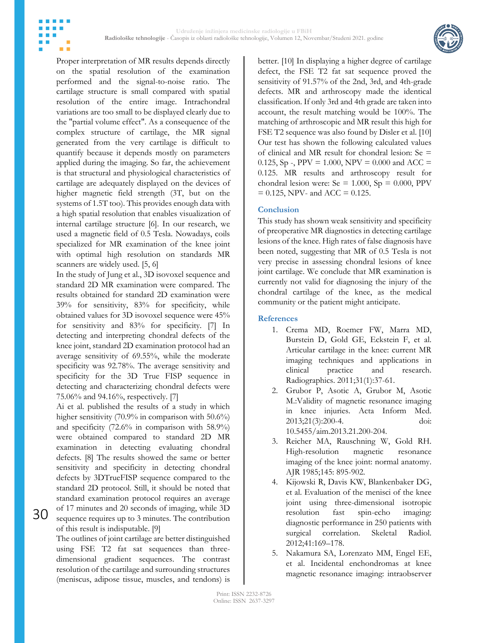

Proper interpretation of MR results depends directly on the spatial resolution of the examination performed and the signal-to-noise ratio. The cartilage structure is small compared with spatial resolution of the entire image. Intrachondral variations are too small to be displayed clearly due to the "partial volume effect". As a consequence of the complex structure of cartilage, the MR signal generated from the very cartilage is difficult to quantify because it depends mostly on parameters applied during the imaging. So far, the achievement is that structural and physiological characteristics of cartilage are adequately displayed on the devices of higher magnetic field strength (3T, but on the systems of 1.5T too). This provides enough data with a high spatial resolution that enables visualization of internal cartilage structure [6]. In our research, we used a magnetic field of 0.5 Tesla. Nowadays, coils specialized for MR examination of the knee joint with optimal high resolution on standards MR

scanners are widely used. [5, 6] In the study of Jung et al., 3D isovoxel sequence and standard 2D MR examination were compared. The results obtained for standard 2D examination were 39% for sensitivity, 83% for specificity, while obtained values for 3D isovoxel sequence were 45% for sensitivity and 83% for specificity. [7] In detecting and interpreting chondral defects of the knee joint, standard 2D examination protocol had an average sensitivity of 69.55%, while the moderate specificity was 92.78%. The average sensitivity and specificity for the 3D True FISP sequence in detecting and characterizing chondral defects were 75.06% and 94.16%, respectively. [7]

Ai et al. published the results of a study in which higher sensitivity (70.9% in comparison with 50.6%) and specificity (72.6% in comparison with 58.9%) were obtained compared to standard 2D MR examination in detecting evaluating chondral defects. [8] The results showed the same or better sensitivity and specificity in detecting chondral defects by 3DTrueFISP sequence compared to the standard 2D protocol. Still, it should be noted that standard examination protocol requires an average of 17 minutes and 20 seconds of imaging, while 3D

30

of this result is indisputable. [9] The outlines of joint cartilage are better distinguished using FSE T2 fat sat sequences than threedimensional gradient sequences. The contrast resolution of the cartilage and surrounding structures (meniscus, adipose tissue, muscles, and tendons) is

sequence requires up to 3 minutes. The contribution

better. [10] In displaying a higher degree of cartilage defect, the FSE T2 fat sat sequence proved the sensitivity of 91.57% of the 2nd, 3rd, and 4th-grade defects. MR and arthroscopy made the identical classification. If only 3rd and 4th grade are taken into account, the result matching would be 100%. The matching of arthroscopic and MR result this high for FSE T2 sequence was also found by Disler et al. [10] Our test has shown the following calculated values of clinical and MR result for chondral lesion: Se = 0.125, Sp -, PPV = 1.000, NPV = 0.000 and ACC = 0.125. MR results and arthroscopy result for chondral lesion were:  $Se = 1.000$ ,  $Sp = 0.000$ , PPV  $= 0.125$ , NPV- and ACC  $= 0.125$ .

## **Conclusion**

This study has shown weak sensitivity and specificity of preoperative MR diagnostics in detecting cartilage lesions of the knee. High rates of false diagnosis have been noted, suggesting that MR of 0.5 Tesla is not very precise in assessing chondral lesions of knee joint cartilage. We conclude that MR examination is currently not valid for diagnosing the injury of the chondral cartilage of the knee, as the medical community or the patient might anticipate.

## **References**

- 1. Crema MD, Roemer FW, Marra MD, Burstein D, Gold GE, Eckstein F, et al. Articular cartilage in the knee: current MR imaging techniques and applications in clinical practice and research. Radiographics. 2011;31(1):37-61.
- 2. Grubor P, Asotic A, Grubor M, Asotic M.:Validity of magnetic resonance imaging in knee injuries. Acta Inform Med. 2013;21(3):200-4. doi: 10.5455/aim.2013.21.200-204.
- 3. Reicher MA, Rauschning W, Gold RH. High-resolution magnetic resonance imaging of the knee joint: normal anatomy. AJR 1985;145: 895-902.
- 4. Kijowski R, Davis KW, Blankenbaker DG, et al. Evaluation of the menisci of the knee joint using three-dimensional isotropic resolution fast spin-echo imaging: diagnostic performance in 250 patients with surgical correlation. Skeletal Radiol. 2012;41:169–178.
- 5. Nakamura SA, Lorenzato MM, Engel EE, et al. Incidental enchondromas at knee magnetic resonance imaging: intraobserver